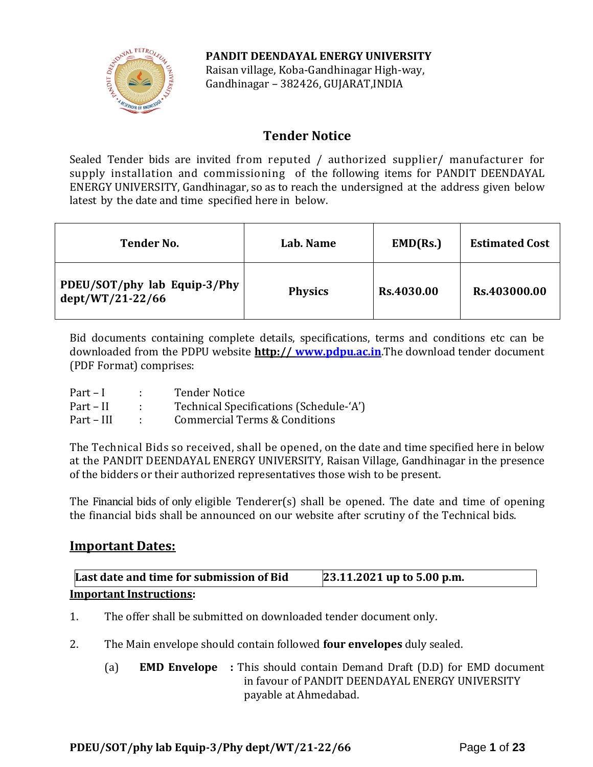

**PANDIT DEENDAYAL ENERGY UNIVERSITY** Raisan village, Koba-Gandhinagar High-way, Gandhinagar – 382426, GUJARAT,INDIA

# **Tender Notice**

Sealed Tender bids are invited from reputed / authorized supplier/ manufacturer for supply installation and commissioning of the following items for PANDIT DEENDAYAL ENERGY UNIVERSITY, Gandhinagar, so as to reach the undersigned at the address given below latest by the date and time specified here in below.

| <b>Tender No.</b>                                | Lab. Name      | EMD(Rs.)   | <b>Estimated Cost</b> |
|--------------------------------------------------|----------------|------------|-----------------------|
| PDEU/SOT/phy lab Equip-3/Phy<br>dept/WT/21-22/66 | <b>Physics</b> | Rs.4030.00 | Rs.403000.00          |

Bid documents containing complete details, specifications, terms and conditions etc can be downloaded from the PDPU website **http:// [www.pdpu.ac.in](http://www.pdpu.ac.in/)**.The download tender document (PDF Format) comprises:

| $Part - I$  | <b>Tender Notice</b>                    |
|-------------|-----------------------------------------|
| $Part - II$ | Technical Specifications (Schedule-'A') |
| Part – III  | Commercial Terms & Conditions           |

The Technical Bids so received, shall be opened, on the date and time specified here in below at the PANDIT DEENDAYAL ENERGY UNIVERSITY, Raisan Village, Gandhinagar in the presence of the bidders or their authorized representatives those wish to be present.

The Financial bids of only eligible Tenderer(s) shall be opened. The date and time of opening the financial bids shall be announced on our website after scrutiny of the Technical bids.

# **Important Dates:**

**Last date and time for submission of Bid 23.11.2021 up to 5.00 p.m. Important Instructions:**

- 1. The offer shall be submitted on downloaded tender document only.
- 2. The Main envelope should contain followed **four envelopes** duly sealed.
	- (a) **EMD Envelope :** This should contain Demand Draft (D.D) for EMD document in favour of PANDIT DEENDAYAL ENERGY UNIVERSITY payable at Ahmedabad.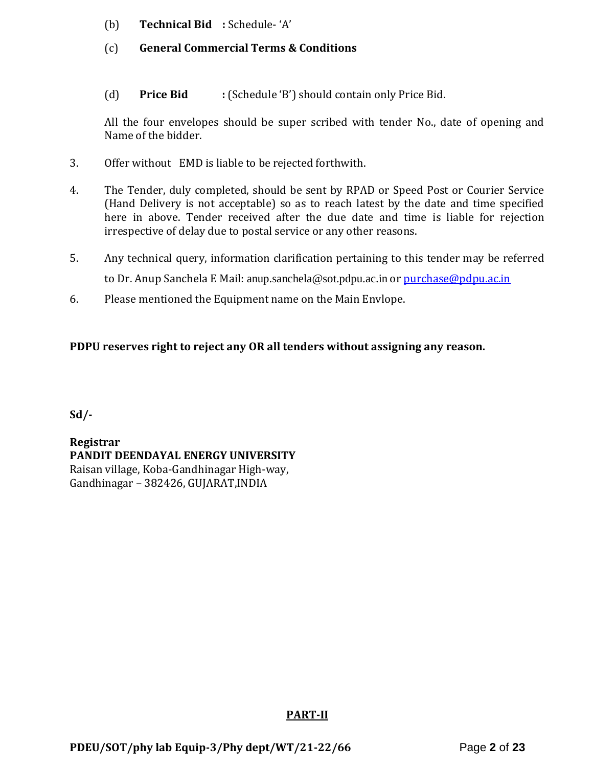- (b) **Technical Bid :** Schedule- 'A'
- (c) **General Commercial Terms & Conditions**
- (d) **Price Bid :** (Schedule 'B') should contain only Price Bid.

All the four envelopes should be super scribed with tender No., date of opening and Name of the bidder.

- 3. Offer without EMD is liable to be rejected forthwith.
- 4. The Tender, duly completed, should be sent by RPAD or Speed Post or Courier Service (Hand Delivery is not acceptable) so as to reach latest by the date and time specified here in above. Tender received after the due date and time is liable for rejection irrespective of delay due to postal service or any other reasons.
- 5. Any technical query, information clarification pertaining to this tender may be referred to Dr. Anup Sanchela E Mail: [anup.sanchela@sot.pdpu.ac.in](mailto:anup.sanchela@sot.pdpu.ac.in) or [purchase@pdpu.ac.in](mailto:purchase@pdpu.ac.in)
- 6. Please mentioned the Equipment name on the Main Envlope.

# **PDPU reserves right to reject any OR all tenders without assigning any reason.**

**Sd/-**

**Registrar PANDIT DEENDAYAL ENERGY UNIVERSITY** Raisan village, Koba-Gandhinagar High-way, Gandhinagar – 382426, GUJARAT,INDIA

#### **PART-II**

**PDEU/SOT/phy lab Equip-3/Phy dept/WT/21-22/66** Page **2** of **23**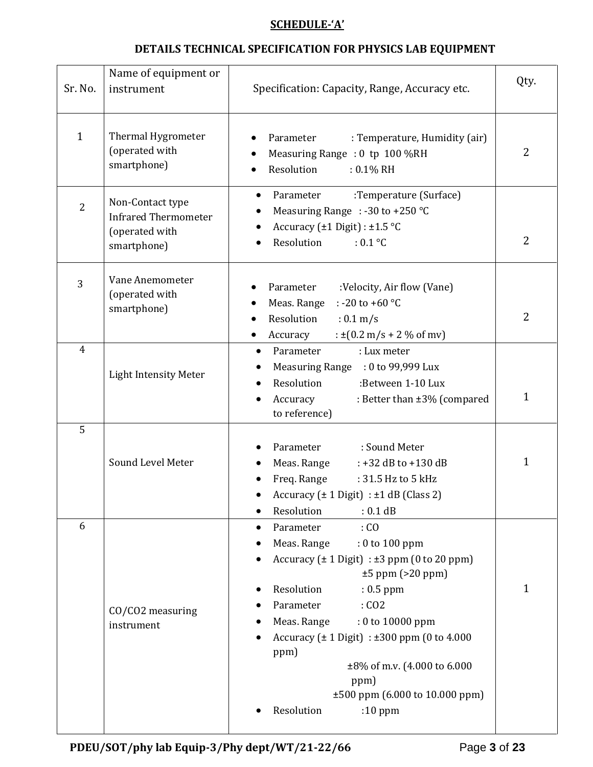### **SCHEDULE-'A'**

# **DETAILS TECHNICAL SPECIFICATION FOR PHYSICS LAB EQUIPMENT**

| Sr. No.        | Name of equipment or<br>instrument                                               | Specification: Capacity, Range, Accuracy etc.                                                                                                                                                                                                                                                                                                                                                      | Qty.           |
|----------------|----------------------------------------------------------------------------------|----------------------------------------------------------------------------------------------------------------------------------------------------------------------------------------------------------------------------------------------------------------------------------------------------------------------------------------------------------------------------------------------------|----------------|
| $\mathbf{1}$   | Thermal Hygrometer<br>(operated with<br>smartphone)                              | Parameter<br>: Temperature, Humidity (air)<br>Measuring Range : 0 tp 100 %RH<br>Resolution<br>$: 0.1\%$ RH                                                                                                                                                                                                                                                                                         | 2              |
| $\overline{2}$ | Non-Contact type<br><b>Infrared Thermometer</b><br>(operated with<br>smartphone) | Parameter<br>:Temperature (Surface)<br>$\bullet$<br>Measuring Range : -30 to +250 °C<br>Accuracy ( $\pm$ 1 Digit) : $\pm$ 1.5 °C<br>Resolution<br>$: 0.1$ °C                                                                                                                                                                                                                                       | 2              |
| 3              | Vane Anemometer<br>(operated with<br>smartphone)                                 | Parameter<br>:Velocity, Air flow (Vane)<br>: -20 to +60 $^{\circ}$ C<br>Meas. Range<br>Resolution<br>$: 0.1 \text{ m/s}$<br>: $\pm (0.2 \text{ m/s} + 2 \% \text{ of } \text{mv})$<br>Accuracy<br>٠                                                                                                                                                                                                | $\overline{2}$ |
| $\overline{4}$ | <b>Light Intensity Meter</b>                                                     | Parameter<br>: Lux meter<br>$\bullet$<br>Measuring Range : 0 to 99,999 Lux<br>Resolution<br>:Between 1-10 Lux<br>Accuracy<br>: Better than ±3% (compared<br>٠<br>to reference)                                                                                                                                                                                                                     | 1              |
| 5              | Sound Level Meter                                                                | : Sound Meter<br>Parameter<br>Meas. Range<br>: +32 dB to +130 dB<br>Freq. Range<br>: 31.5 Hz to 5 kHz<br>Accuracy $(\pm 1$ Digit) : $\pm 1$ dB (Class 2)<br>Resolution<br>: 0.1 dB                                                                                                                                                                                                                 | 1              |
| 6              | CO/CO2 measuring<br>instrument                                                   | Parameter<br>$:$ CO<br>Meas. Range<br>: 0 to 100 ppm<br>Accuracy $(\pm 1$ Digit) : $\pm 3$ ppm (0 to 20 ppm)<br>$\pm 5$ ppm (>20 ppm)<br>Resolution<br>$: 0.5$ ppm<br>Parameter<br>: CO2<br>Meas. Range<br>$: 0$ to 10000 ppm<br>Accuracy ( $\pm$ 1 Digit) : $\pm$ 300 ppm (0 to 4.000<br>ppm)<br>±8% of m.v. (4.000 to 6.000<br>ppm)<br>±500 ppm (6.000 to 10.000 ppm)<br>Resolution<br>$:10$ ppm | 1              |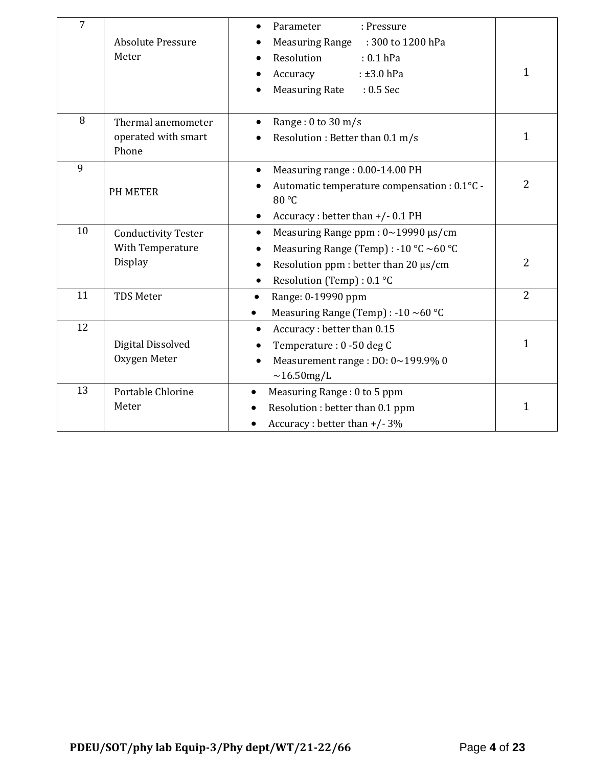| $\overline{7}$ | <b>Absolute Pressure</b><br>Meter                                | Parameter<br>: Pressure<br>$\bullet$<br><b>Measuring Range</b><br>: 300 to 1200 hPa<br>Resolution<br>$: 0.1$ hPa<br>Accuracy<br>$: \pm 3.0$ hPa<br><b>Measuring Rate</b><br>$: 0.5$ Sec         | 1              |
|----------------|------------------------------------------------------------------|-------------------------------------------------------------------------------------------------------------------------------------------------------------------------------------------------|----------------|
| 8              | Thermal anemometer<br>operated with smart<br>Phone               | Range: $0$ to $30 \text{ m/s}$<br>Resolution : Better than 0.1 m/s                                                                                                                              | $\mathbf{1}$   |
| 9              | <b>PH METER</b>                                                  | Measuring range: 0.00-14.00 PH<br>$\bullet$<br>Automatic temperature compensation : 0.1°C -<br>80 °C<br>Accuracy: better than +/-0.1 PH                                                         | $\overline{2}$ |
| 10             | <b>Conductivity Tester</b><br>With Temperature<br><b>Display</b> | Measuring Range ppm: 0~19990 µs/cm<br>$\bullet$<br>Measuring Range (Temp) : -10 °C ~60 °C<br>٠<br>Resolution ppm : better than 20 µs/cm<br>$\bullet$<br>Resolution (Temp) : 0.1 °C<br>$\bullet$ | $\overline{2}$ |
| 11             | <b>TDS Meter</b>                                                 | Range: 0-19990 ppm<br>$\bullet$<br>Measuring Range (Temp) : -10 ~60 °C<br>$\bullet$                                                                                                             | $\overline{2}$ |
| 12             | Digital Dissolved<br>Oxygen Meter                                | Accuracy: better than 0.15<br>Temperature: 0 -50 deg C<br>Measurement range : DO: 0~199.9% 0<br>$\sim$ 16.50mg/L                                                                                | $\mathbf{1}$   |
| 13             | Portable Chlorine<br>Meter                                       | Measuring Range: 0 to 5 ppm<br>$\bullet$<br>Resolution : better than 0.1 ppm<br>Accuracy : better than $+/- 3\%$                                                                                | 1              |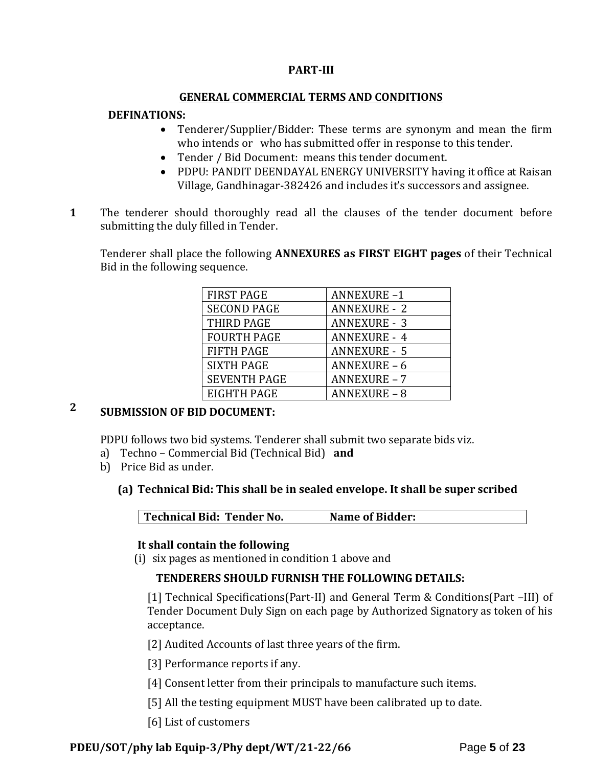#### **PART-III**

#### **GENERAL COMMERCIAL TERMS AND CONDITIONS**

#### **DEFINATIONS:**

- Tenderer/Supplier/Bidder: These terms are synonym and mean the firm who intends or who has submitted offer in response to this tender.
- Tender / Bid Document: means this tender document.
- PDPU: PANDIT DEENDAYAL ENERGY UNIVERSITY having it office at Raisan Village, Gandhinagar-382426 and includes it's successors and assignee.
- **1**1. The tenderer should thoroughly read all the clauses of the tender document before submitting the duly filled in Tender.

Tenderer shall place the following **ANNEXURES as FIRST EIGHT pages** of their Technical Bid in the following sequence.

| <b>FIRST PAGE</b>   | <b>ANNEXURE-1</b>   |
|---------------------|---------------------|
| <b>SECOND PAGE</b>  | <b>ANNEXURE - 2</b> |
| THIRD PAGE          | <b>ANNEXURE - 3</b> |
| <b>FOURTH PAGE</b>  | <b>ANNEXURE - 4</b> |
| <b>FIFTH PAGE</b>   | <b>ANNEXURE - 5</b> |
| <b>SIXTH PAGE</b>   | <b>ANNEXURE - 6</b> |
| <b>SEVENTH PAGE</b> | <b>ANNEXURE - 7</b> |
| EIGHTH PAGE         | <b>ANNEXURE - 8</b> |

# **2 SUBMISSION OF BID DOCUMENT:**

PDPU follows two bid systems. Tenderer shall submit two separate bids viz.

- a) Techno Commercial Bid (Technical Bid) **and**
- b) Price Bid as under.

#### **(a) Technical Bid: This shall be in sealed envelope. It shall be super scribed**

**Technical Bid: Tender No. Name of Bidder:**

#### **It shall contain the following**

(i) six pages as mentioned in condition 1 above and

#### **TENDERERS SHOULD FURNISH THE FOLLOWING DETAILS:**

[1] Technical Specifications(Part-II) and General Term & Conditions(Part –III) of Tender Document Duly Sign on each page by Authorized Signatory as token of his acceptance.

[2] Audited Accounts of last three years of the firm.

[3] Performance reports if any.

- [4] Consent letter from their principals to manufacture such items.
- [5] All the testing equipment MUST have been calibrated up to date.
- [6] List of customers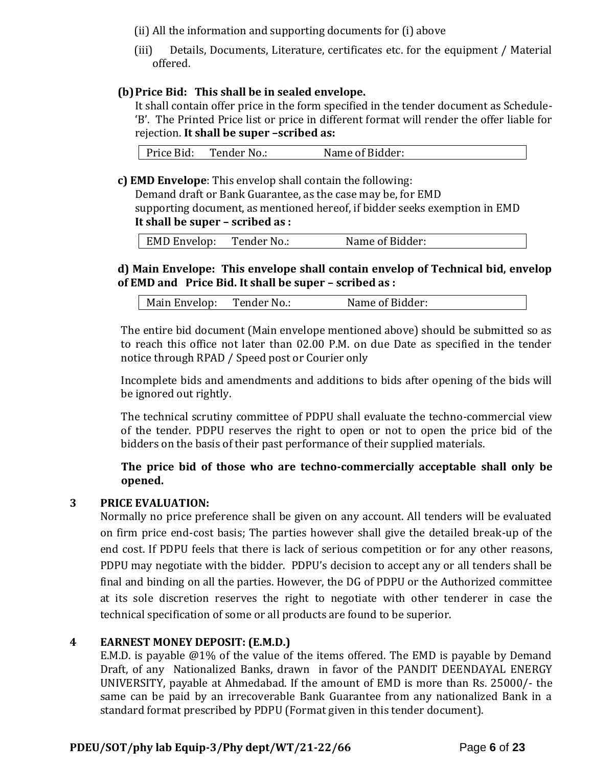(ii) All the information and supporting documents for (i) above

(iii) Details, Documents, Literature, certificates etc. for the equipment / Material offered.

# **(b)Price Bid: This shall be in sealed envelope.**

It shall contain offer price in the form specified in the tender document as Schedule- 'B'. The Printed Price list or price in different format will render the offer liable for rejection. **It shall be super –scribed as:**

| Price Bid:<br>Tender No.: | Name of Bidder: |  |
|---------------------------|-----------------|--|
|---------------------------|-----------------|--|

**c) EMD Envelope**: This envelop shall contain the following:

Demand draft or Bank Guarantee, as the case may be, for EMD supporting document, as mentioned hereof, if bidder seeks exemption in EMD **It shall be super – scribed as :**

| <b>EMD Envelop:</b> | Tender No.: | Name of Bidder: |
|---------------------|-------------|-----------------|
|---------------------|-------------|-----------------|

# **d) Main Envelope: This envelope shall contain envelop of Technical bid, envelop of EMD and Price Bid. It shall be super – scribed as :**

| Main Envelop:<br>Tender No.: | Name of Bidder: |  |
|------------------------------|-----------------|--|
|------------------------------|-----------------|--|

The entire bid document (Main envelope mentioned above) should be submitted so as to reach this office not later than 02.00 P.M. on due Date as specified in the tender notice through RPAD / Speed post or Courier only

Incomplete bids and amendments and additions to bids after opening of the bids will be ignored out rightly.

The technical scrutiny committee of PDPU shall evaluate the techno-commercial view of the tender. PDPU reserves the right to open or not to open the price bid of the bidders on the basis of their past performance of their supplied materials.

# **The price bid of those who are techno-commercially acceptable shall only be opened.**

#### **3 PRICE EVALUATION:**

Normally no price preference shall be given on any account. All tenders will be evaluated on firm price end-cost basis; The parties however shall give the detailed break-up of the end cost. If PDPU feels that there is lack of serious competition or for any other reasons, PDPU may negotiate with the bidder. PDPU's decision to accept any or all tenders shall be final and binding on all the parties. However, the DG of PDPU or the Authorized committee at its sole discretion reserves the right to negotiate with other tenderer in case the technical specification of some or all products are found to be superior.

#### **4 EARNEST MONEY DEPOSIT: (E.M.D.)**

E.M.D. is payable @1% of the value of the items offered. The EMD is payable by Demand Draft, of any Nationalized Banks, drawn in favor of the PANDIT DEENDAYAL ENERGY UNIVERSITY, payable at Ahmedabad. If the amount of EMD is more than Rs. 25000/- the same can be paid by an irrecoverable Bank Guarantee from any nationalized Bank in a standard format prescribed by PDPU (Format given in this tender document).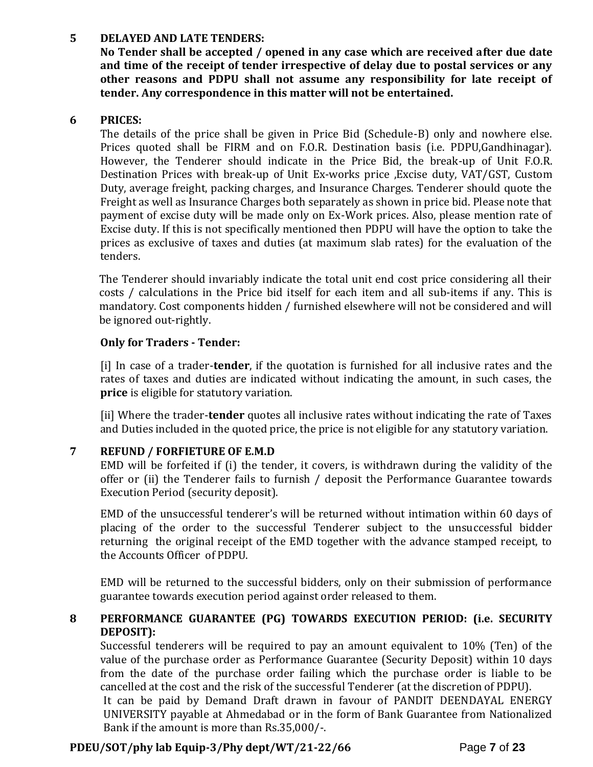### **5 DELAYED AND LATE TENDERS:**

**No Tender shall be accepted / opened in any case which are received after due date and time of the receipt of tender irrespective of delay due to postal services or any other reasons and PDPU shall not assume any responsibility for late receipt of tender. Any correspondence in this matter will not be entertained.**

# **6 PRICES:**

The details of the price shall be given in Price Bid (Schedule-B) only and nowhere else. Prices quoted shall be FIRM and on F.O.R. Destination basis (i.e. PDPU,Gandhinagar). However, the Tenderer should indicate in the Price Bid, the break-up of Unit F.O.R. Destination Prices with break-up of Unit Ex-works price ,Excise duty, VAT/GST, Custom Duty, average freight, packing charges, and Insurance Charges. Tenderer should quote the Freight as well as Insurance Charges both separately as shown in price bid. Please note that payment of excise duty will be made only on Ex-Work prices. Also, please mention rate of Excise duty. If this is not specifically mentioned then PDPU will have the option to take the prices as exclusive of taxes and duties (at maximum slab rates) for the evaluation of the tenders.

The Tenderer should invariably indicate the total unit end cost price considering all their costs / calculations in the Price bid itself for each item and all sub-items if any. This is mandatory. Cost components hidden / furnished elsewhere will not be considered and will be ignored out-rightly.

# **Only for Traders - Tender:**

[i] In case of a trader-**tender**, if the quotation is furnished for all inclusive rates and the rates of taxes and duties are indicated without indicating the amount, in such cases, the **price** is eligible for statutory variation.

[ii] Where the trader-**tender** quotes all inclusive rates without indicating the rate of Taxes and Duties included in the quoted price, the price is not eligible for any statutory variation.

# **7 REFUND / FORFIETURE OF E.M.D**

EMD will be forfeited if (i) the tender, it covers, is withdrawn during the validity of the offer or (ii) the Tenderer fails to furnish / deposit the Performance Guarantee towards Execution Period (security deposit).

EMD of the unsuccessful tenderer's will be returned without intimation within 60 days of placing of the order to the successful Tenderer subject to the unsuccessful bidder returning the original receipt of the EMD together with the advance stamped receipt, to the Accounts Officer of PDPU.

EMD will be returned to the successful bidders, only on their submission of performance guarantee towards execution period against order released to them.

# **8 PERFORMANCE GUARANTEE (PG) TOWARDS EXECUTION PERIOD: (i.e. SECURITY DEPOSIT):**

Successful tenderers will be required to pay an amount equivalent to 10% (Ten) of the value of the purchase order as Performance Guarantee (Security Deposit) within 10 days from the date of the purchase order failing which the purchase order is liable to be cancelled at the cost and the risk of the successful Tenderer (at the discretion of PDPU).

It can be paid by Demand Draft drawn in favour of PANDIT DEENDAYAL ENERGY UNIVERSITY payable at Ahmedabad or in the form of Bank Guarantee from Nationalized Bank if the amount is more than Rs.35,000/-.

# **PDEU/SOT/phy lab Equip-3/Phy dept/WT/21-22/66** Page **7** of **23**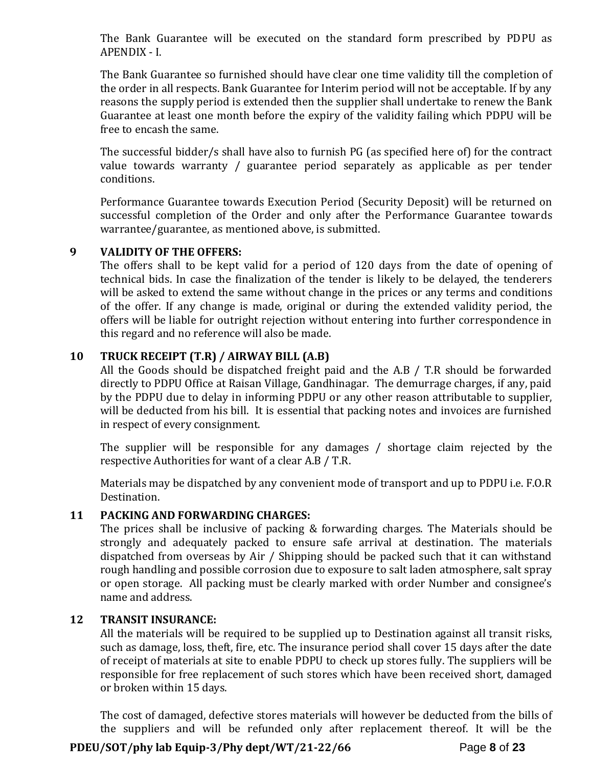The Bank Guarantee will be executed on the standard form prescribed by PDPU as APENDIX - I.

The Bank Guarantee so furnished should have clear one time validity till the completion of the order in all respects. Bank Guarantee for Interim period will not be acceptable. If by any reasons the supply period is extended then the supplier shall undertake to renew the Bank Guarantee at least one month before the expiry of the validity failing which PDPU will be free to encash the same.

The successful bidder/s shall have also to furnish PG (as specified here of) for the contract value towards warranty / guarantee period separately as applicable as per tender conditions.

Performance Guarantee towards Execution Period (Security Deposit) will be returned on successful completion of the Order and only after the Performance Guarantee towards warrantee/guarantee, as mentioned above, is submitted.

#### **9 VALIDITY OF THE OFFERS:**

The offers shall to be kept valid for a period of 120 days from the date of opening of technical bids. In case the finalization of the tender is likely to be delayed, the tenderers will be asked to extend the same without change in the prices or any terms and conditions of the offer. If any change is made, original or during the extended validity period, the offers will be liable for outright rejection without entering into further correspondence in this regard and no reference will also be made.

# **10 TRUCK RECEIPT (T.R) / AIRWAY BILL (A.B)**

All the Goods should be dispatched freight paid and the A.B / T.R should be forwarded directly to PDPU Office at Raisan Village, Gandhinagar. The demurrage charges, if any, paid by the PDPU due to delay in informing PDPU or any other reason attributable to supplier, will be deducted from his bill. It is essential that packing notes and invoices are furnished in respect of every consignment.

The supplier will be responsible for any damages / shortage claim rejected by the respective Authorities for want of a clear A.B / T.R.

Materials may be dispatched by any convenient mode of transport and up to PDPU i.e. F.O.R Destination.

# **11 PACKING AND FORWARDING CHARGES:**

The prices shall be inclusive of packing & forwarding charges. The Materials should be strongly and adequately packed to ensure safe arrival at destination. The materials dispatched from overseas by Air / Shipping should be packed such that it can withstand rough handling and possible corrosion due to exposure to salt laden atmosphere, salt spray or open storage. All packing must be clearly marked with order Number and consignee's name and address.

### **12 TRANSIT INSURANCE:**

All the materials will be required to be supplied up to Destination against all transit risks, such as damage, loss, theft, fire, etc. The insurance period shall cover 15 days after the date of receipt of materials at site to enable PDPU to check up stores fully. The suppliers will be responsible for free replacement of such stores which have been received short, damaged or broken within 15 days.

The cost of damaged, defective stores materials will however be deducted from the bills of the suppliers and will be refunded only after replacement thereof. It will be the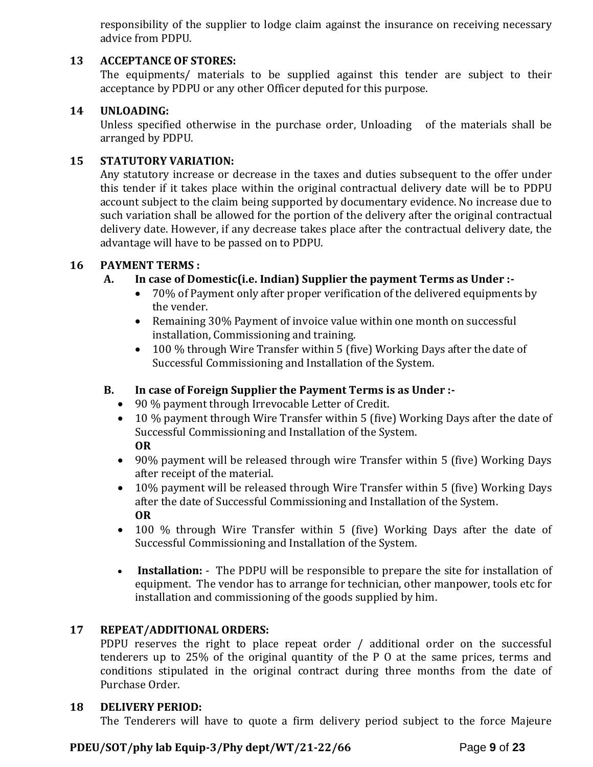responsibility of the supplier to lodge claim against the insurance on receiving necessary advice from PDPU.

# **13 ACCEPTANCE OF STORES:**

The equipments/ materials to be supplied against this tender are subject to their acceptance by PDPU or any other Officer deputed for this purpose.

### **14 UNLOADING:**

Unless specified otherwise in the purchase order, Unloading of the materials shall be arranged by PDPU.

#### **15 STATUTORY VARIATION:**

Any statutory increase or decrease in the taxes and duties subsequent to the offer under this tender if it takes place within the original contractual delivery date will be to PDPU account subject to the claim being supported by documentary evidence. No increase due to such variation shall be allowed for the portion of the delivery after the original contractual delivery date. However, if any decrease takes place after the contractual delivery date, the advantage will have to be passed on to PDPU.

# **16 PAYMENT TERMS :**

# **A. In case of Domestic(i.e. Indian) Supplier the payment Terms as Under :-**

- 70% of Payment only after proper verification of the delivered equipments by the vender.
- Remaining 30% Payment of invoice value within one month on successful installation, Commissioning and training.
- 100 % through Wire Transfer within 5 (five) Working Days after the date of Successful Commissioning and Installation of the System.

# **B. In case of Foreign Supplier the Payment Terms is as Under :-**

- 90 % payment through Irrevocable Letter of Credit.
- 10 % payment through Wire Transfer within 5 (five) Working Days after the date of Successful Commissioning and Installation of the System. **OR**
- 90% payment will be released through wire Transfer within 5 (five) Working Days after receipt of the material.
- 10% payment will be released through Wire Transfer within 5 (five) Working Days after the date of Successful Commissioning and Installation of the System. **OR**
- 100 % through Wire Transfer within 5 (five) Working Days after the date of Successful Commissioning and Installation of the System.
- **Installation:** The PDPU will be responsible to prepare the site for installation of equipment. The vendor has to arrange for technician, other manpower, tools etc for installation and commissioning of the goods supplied by him.

#### **17 REPEAT/ADDITIONAL ORDERS:**

PDPU reserves the right to place repeat order / additional order on the successful tenderers up to 25% of the original quantity of the P O at the same prices, terms and conditions stipulated in the original contract during three months from the date of Purchase Order.

#### **18 DELIVERY PERIOD:**

The Tenderers will have to quote a firm delivery period subject to the force Majeure

#### **PDEU/SOT/phy lab Equip-3/Phy dept/WT/21-22/66** Page **9** of **23**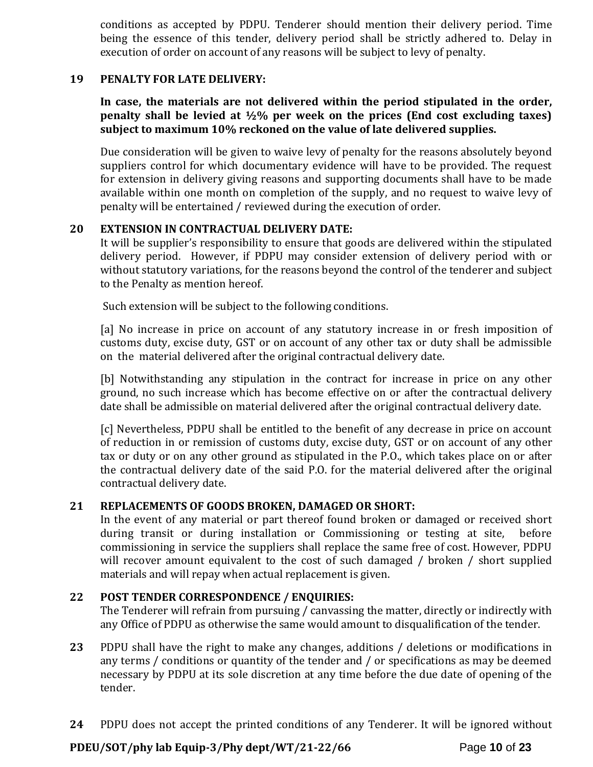conditions as accepted by PDPU. Tenderer should mention their delivery period. Time being the essence of this tender, delivery period shall be strictly adhered to. Delay in execution of order on account of any reasons will be subject to levy of penalty.

#### **19 PENALTY FOR LATE DELIVERY:**

**In case, the materials are not delivered within the period stipulated in the order, penalty shall be levied at ½% per week on the prices (End cost excluding taxes) subject to maximum 10% reckoned on the value of late delivered supplies.**

Due consideration will be given to waive levy of penalty for the reasons absolutely beyond suppliers control for which documentary evidence will have to be provided. The request for extension in delivery giving reasons and supporting documents shall have to be made available within one month on completion of the supply, and no request to waive levy of penalty will be entertained / reviewed during the execution of order.

#### **20 EXTENSION IN CONTRACTUAL DELIVERY DATE:**

It will be supplier's responsibility to ensure that goods are delivered within the stipulated delivery period. However, if PDPU may consider extension of delivery period with or without statutory variations, for the reasons beyond the control of the tenderer and subject to the Penalty as mention hereof.

Such extension will be subject to the following conditions.

[a] No increase in price on account of any statutory increase in or fresh imposition of customs duty, excise duty, GST or on account of any other tax or duty shall be admissible on the material delivered after the original contractual delivery date.

[b] Notwithstanding any stipulation in the contract for increase in price on any other ground, no such increase which has become effective on or after the contractual delivery date shall be admissible on material delivered after the original contractual delivery date.

[c] Nevertheless, PDPU shall be entitled to the benefit of any decrease in price on account of reduction in or remission of customs duty, excise duty, GST or on account of any other tax or duty or on any other ground as stipulated in the P.O., which takes place on or after the contractual delivery date of the said P.O. for the material delivered after the original contractual delivery date.

#### **21 REPLACEMENTS OF GOODS BROKEN, DAMAGED OR SHORT:**

In the event of any material or part thereof found broken or damaged or received short during transit or during installation or Commissioning or testing at site, before commissioning in service the suppliers shall replace the same free of cost. However, PDPU will recover amount equivalent to the cost of such damaged / broken / short supplied materials and will repay when actual replacement is given.

#### **22 POST TENDER CORRESPONDENCE / ENQUIRIES:**

The Tenderer will refrain from pursuing / canvassing the matter, directly or indirectly with any Office of PDPU as otherwise the same would amount to disqualification of the tender.

- **23** PDPU shall have the right to make any changes, additions / deletions or modifications in any terms / conditions or quantity of the tender and / or specifications as may be deemed necessary by PDPU at its sole discretion at any time before the due date of opening of the tender.
- **24** PDPU does not accept the printed conditions of any Tenderer. It will be ignored without

# **PDEU/SOT/phy lab Equip-3/Phy dept/WT/21-22/66** Page **10** of **23**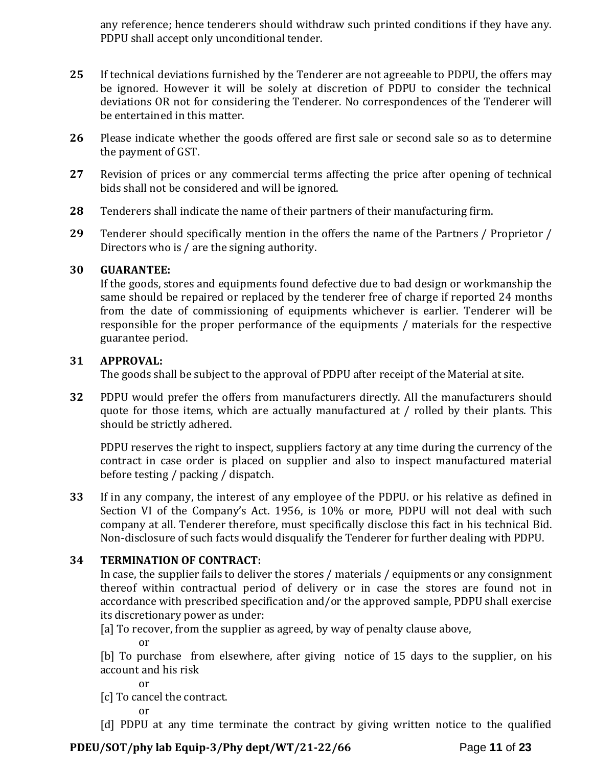any reference; hence tenderers should withdraw such printed conditions if they have any. PDPU shall accept only unconditional tender.

- **25** If technical deviations furnished by the Tenderer are not agreeable to PDPU, the offers may be ignored. However it will be solely at discretion of PDPU to consider the technical deviations OR not for considering the Tenderer. No correspondences of the Tenderer will be entertained in this matter.
- **26** Please indicate whether the goods offered are first sale or second sale so as to determine the payment of GST.
- **27** Revision of prices or any commercial terms affecting the price after opening of technical bids shall not be considered and will be ignored.
- **28** Tenderers shall indicate the name of their partners of their manufacturing firm.
- **29** Tenderer should specifically mention in the offers the name of the Partners / Proprietor / Directors who is / are the signing authority.

# **30 GUARANTEE:**

If the goods, stores and equipments found defective due to bad design or workmanship the same should be repaired or replaced by the tenderer free of charge if reported 24 months from the date of commissioning of equipments whichever is earlier. Tenderer will be responsible for the proper performance of the equipments / materials for the respective guarantee period.

#### **31 APPROVAL:**

The goods shall be subject to the approval of PDPU after receipt of the Material at site.

**32** PDPU would prefer the offers from manufacturers directly. All the manufacturers should quote for those items, which are actually manufactured at / rolled by their plants. This should be strictly adhered.

PDPU reserves the right to inspect, suppliers factory at any time during the currency of the contract in case order is placed on supplier and also to inspect manufactured material before testing / packing / dispatch.

**33** If in any company, the interest of any employee of the PDPU. or his relative as defined in Section VI of the Company's Act. 1956, is 10% or more, PDPU will not deal with such company at all. Tenderer therefore, must specifically disclose this fact in his technical Bid. Non-disclosure of such facts would disqualify the Tenderer for further dealing with PDPU.

# **34 TERMINATION OF CONTRACT:**

In case, the supplier fails to deliver the stores / materials / equipments or any consignment thereof within contractual period of delivery or in case the stores are found not in accordance with prescribed specification and/or the approved sample, PDPU shall exercise its discretionary power as under:

[a] To recover, from the supplier as agreed, by way of penalty clause above,

or

[b] To purchase from elsewhere, after giving notice of 15 days to the supplier, on his account and his risk

or

[c] To cancel the contract.

or

[d] PDPU at any time terminate the contract by giving written notice to the qualified

# **PDEU/SOT/phy lab Equip-3/Phy dept/WT/21-22/66** Page **11** of **23**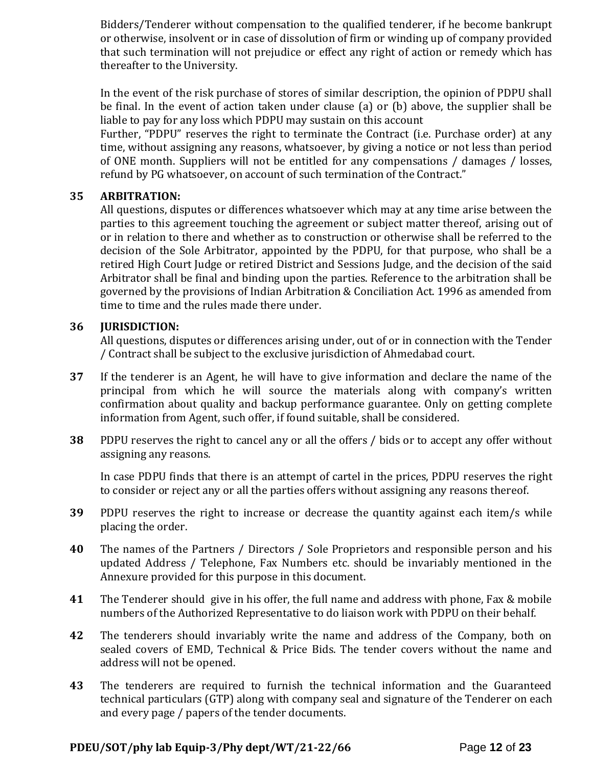Bidders/Tenderer without compensation to the qualified tenderer, if he become bankrupt or otherwise, insolvent or in case of dissolution of firm or winding up of company provided that such termination will not prejudice or effect any right of action or remedy which has thereafter to the University.

In the event of the risk purchase of stores of similar description, the opinion of PDPU shall be final. In the event of action taken under clause (a) or (b) above, the supplier shall be liable to pay for any loss which PDPU may sustain on this account

Further, "PDPU" reserves the right to terminate the Contract (i.e. Purchase order) at any time, without assigning any reasons, whatsoever, by giving a notice or not less than period of ONE month. Suppliers will not be entitled for any compensations / damages / losses, refund by PG whatsoever, on account of such termination of the Contract."

#### **35 ARBITRATION:**

All questions, disputes or differences whatsoever which may at any time arise between the parties to this agreement touching the agreement or subject matter thereof, arising out of or in relation to there and whether as to construction or otherwise shall be referred to the decision of the Sole Arbitrator, appointed by the PDPU, for that purpose, who shall be a retired High Court Judge or retired District and Sessions Judge, and the decision of the said Arbitrator shall be final and binding upon the parties. Reference to the arbitration shall be governed by the provisions of Indian Arbitration & Conciliation Act. 1996 as amended from time to time and the rules made there under.

# **36 JURISDICTION:**

All questions, disputes or differences arising under, out of or in connection with the Tender / Contract shall be subject to the exclusive jurisdiction of Ahmedabad court.

- **37** If the tenderer is an Agent, he will have to give information and declare the name of the principal from which he will source the materials along with company's written confirmation about quality and backup performance guarantee. Only on getting complete information from Agent, such offer, if found suitable, shall be considered.
- **38** PDPU reserves the right to cancel any or all the offers / bids or to accept any offer without assigning any reasons.

In case PDPU finds that there is an attempt of cartel in the prices, PDPU reserves the right to consider or reject any or all the parties offers without assigning any reasons thereof.

- **39** PDPU reserves the right to increase or decrease the quantity against each item/s while placing the order.
- **40** The names of the Partners / Directors / Sole Proprietors and responsible person and his updated Address / Telephone, Fax Numbers etc. should be invariably mentioned in the Annexure provided for this purpose in this document.
- **41** The Tenderer should give in his offer, the full name and address with phone, Fax & mobile numbers of the Authorized Representative to do liaison work with PDPU on their behalf.
- **42** The tenderers should invariably write the name and address of the Company, both on sealed covers of EMD, Technical & Price Bids. The tender covers without the name and address will not be opened.
- **43** The tenderers are required to furnish the technical information and the Guaranteed technical particulars (GTP) along with company seal and signature of the Tenderer on each and every page / papers of the tender documents.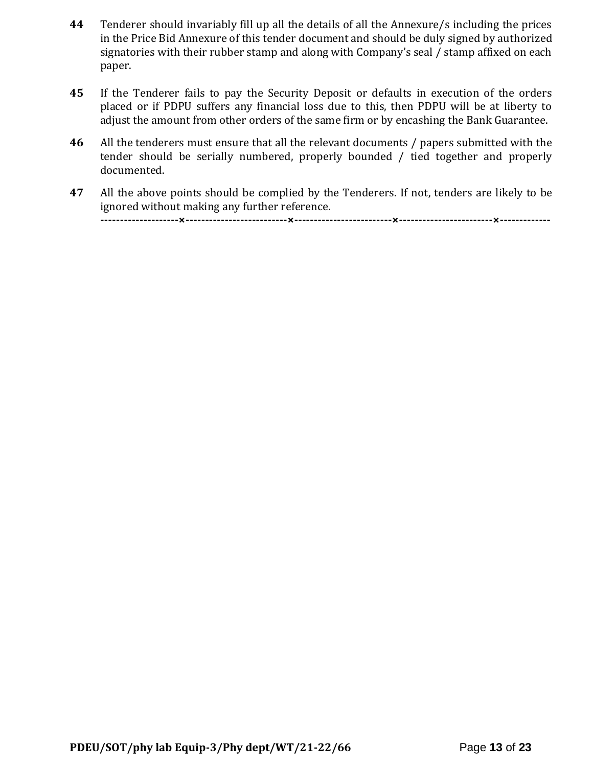- **44** Tenderer should invariably fill up all the details of all the Annexure/s including the prices in the Price Bid Annexure of this tender document and should be duly signed by authorized signatories with their rubber stamp and along with Company's seal / stamp affixed on each paper.
- **45** If the Tenderer fails to pay the Security Deposit or defaults in execution of the orders placed or if PDPU suffers any financial loss due to this, then PDPU will be at liberty to adjust the amount from other orders of the same firm or by encashing the Bank Guarantee.
- **46** All the tenderers must ensure that all the relevant documents / papers submitted with the tender should be serially numbered, properly bounded / tied together and properly documented.
- **47** All the above points should be complied by the Tenderers. If not, tenders are likely to be ignored without making any further reference. **--------------------×--------------------------×-------------------------×------------------------×-------------**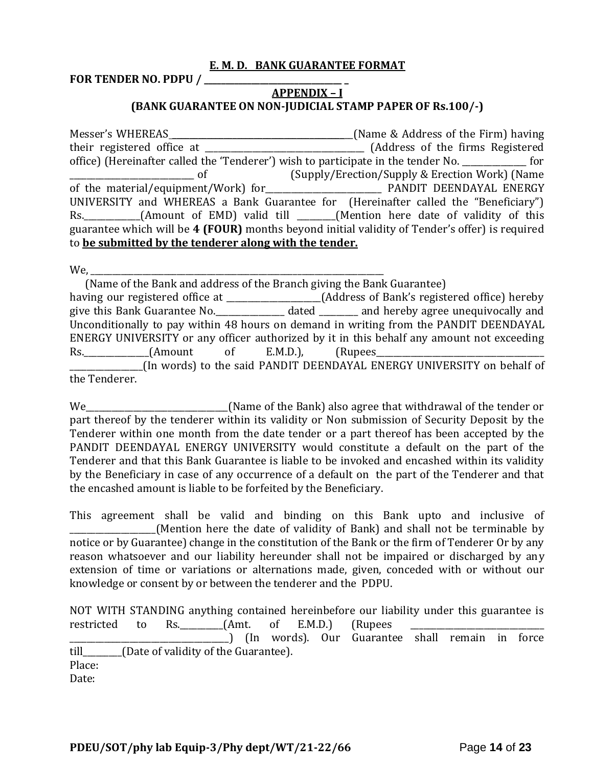#### **E. M. D. BANK GUARANTEE FORMAT**

**FOR TENDER NO. PDPU / \_\_\_\_\_\_\_\_\_\_\_\_\_\_\_\_\_\_\_\_\_\_\_\_\_\_\_\_\_\_\_\_ \_**

# **APPENDIX – I (BANK GUARANTEE ON NON-JUDICIAL STAMP PAPER OF Rs.100/-)**

Messer's WHEREAS \_\_\_\_\_\_\_\_\_\_\_\_\_\_\_\_\_\_\_\_\_\_\_\_\_\_\_\_\_\_\_\_\_\_\_\_\_\_\_\_\_\_(Name & Address of the Firm) having their registered office at \_\_\_\_\_\_\_\_\_\_\_\_\_\_\_\_\_\_\_\_\_\_\_\_\_\_\_\_\_\_\_\_\_\_\_\_\_ (Address of the firms Registered office) (Hereinafter called the 'Tenderer') wish to participate in the tender No. \_\_\_\_\_\_\_\_\_\_\_\_\_\_\_ for \_\_\_\_\_\_\_\_\_\_\_\_\_\_\_\_\_\_\_\_\_\_\_\_\_\_\_\_\_ of (Supply/Erection/Supply & Erection Work) (Name of the material/equipment/Work) for PANDIT DEENDAYAL ENERGY UNIVERSITY and WHEREAS a Bank Guarantee for (Hereinafter called the "Beneficiary") Rs. (Amount of EMD) valid till (Mention here date of validity of this guarantee which will be **4 (FOUR)** months beyond initial validity of Tender's offer) is required to **be submitted by the tenderer along with the tender.**

 $We,$ 

 (Name of the Bank and address of the Branch giving the Bank Guarantee) having our registered office at \_\_\_\_\_\_\_\_\_\_\_\_\_\_\_\_\_\_\_\_(Address of Bank's registered office) hereby give this Bank Guarantee No.\_\_\_\_\_\_\_\_\_\_\_\_\_\_\_\_ dated \_\_\_\_\_\_\_\_\_ and hereby agree unequivocally and Unconditionally to pay within 48 hours on demand in writing from the PANDIT DEENDAYAL ENERGY UNIVERSITY or any officer authorized by it in this behalf any amount not exceeding Rs.\_\_\_\_\_\_\_\_\_\_\_\_\_\_\_(Amount of E.M.D.), (Rupees\_\_\_\_\_\_\_\_\_\_\_\_\_\_\_\_\_\_\_\_\_\_\_\_\_\_\_\_\_\_\_\_\_\_\_\_\_\_\_ \_\_\_\_\_\_\_\_\_\_\_\_\_\_\_\_\_(In words) to the said PANDIT DEENDAYAL ENERGY UNIVERSITY on behalf of the Tenderer.

We\_\_\_\_\_\_\_\_\_\_\_\_\_\_\_\_\_\_\_\_\_\_\_\_\_\_\_\_\_\_\_\_\_(Name of the Bank) also agree that withdrawal of the tender or part thereof by the tenderer within its validity or Non submission of Security Deposit by the Tenderer within one month from the date tender or a part thereof has been accepted by the PANDIT DEENDAYAL ENERGY UNIVERSITY would constitute a default on the part of the Tenderer and that this Bank Guarantee is liable to be invoked and encashed within its validity by the Beneficiary in case of any occurrence of a default on the part of the Tenderer and that the encashed amount is liable to be forfeited by the Beneficiary.

This agreement shall be valid and binding on this Bank upto and inclusive of (Mention here the date of validity of Bank) and shall not be terminable by notice or by Guarantee) change in the constitution of the Bank or the firm of Tenderer Or by any reason whatsoever and our liability hereunder shall not be impaired or discharged by any extension of time or variations or alternations made, given, conceded with or without our knowledge or consent by or between the tenderer and the PDPU.

|                                           |  |  |  | NOT WITH STANDING anything contained hereinbefore our liability under this guarantee is |  |  |
|-------------------------------------------|--|--|--|-----------------------------------------------------------------------------------------|--|--|
|                                           |  |  |  | restricted to Rs. (Amt. of E.M.D.) (Rupees                                              |  |  |
|                                           |  |  |  | [In words]. Our Guarantee shall remain in force                                         |  |  |
| till (Date of validity of the Guarantee). |  |  |  |                                                                                         |  |  |
| Place:                                    |  |  |  |                                                                                         |  |  |
| Date:                                     |  |  |  |                                                                                         |  |  |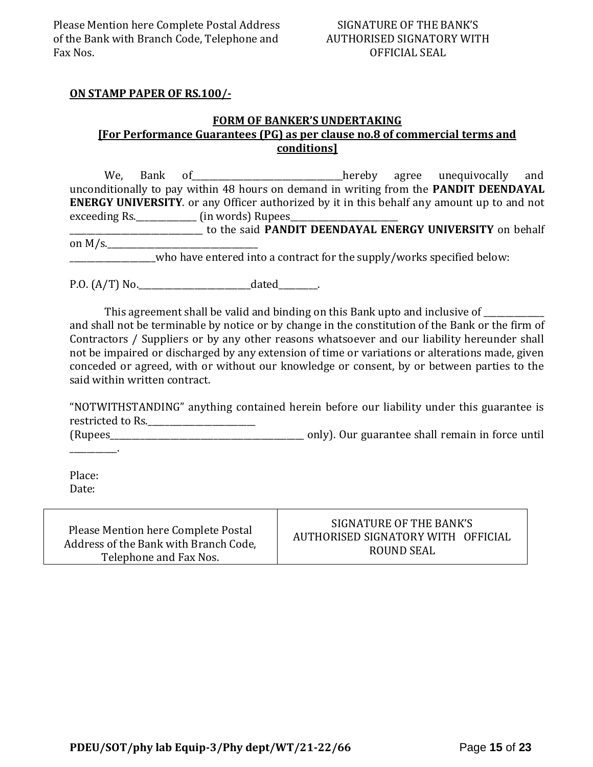### **ON STAMP PAPER OF RS.100/-**

# **FORM OF BANKER'S UNDERTAKING [For Performance Guarantees (PG) as per clause no.8 of commercial terms and conditions]**

We, Bank of the contract of the end of the hereby agree unequivocally and unconditionally to pay within 48 hours on demand in writing from the **PANDIT DEENDAYAL ENERGY UNIVERSITY**. or any Officer authorized by it in this behalf any amount up to and not exceeding Rs.\_\_\_\_\_\_\_\_\_\_\_\_\_\_\_\_\_\_ (in words) Rupees\_ \_\_\_\_\_\_\_\_\_\_\_\_\_\_\_\_\_\_\_\_\_\_\_\_\_\_\_\_\_\_\_ to the said **PANDIT DEENDAYAL ENERGY UNIVERSITY** on behalf on  $M/s$ .

who have entered into a contract for the supply/works specified below:

P.O. (A/T) No.\_\_\_\_\_\_\_\_\_\_\_\_\_\_\_\_\_\_\_\_\_\_\_\_\_\_dated\_\_\_\_\_\_\_\_\_.

This agreement shall be valid and binding on this Bank upto and inclusive of \_\_\_\_\_\_\_\_\_\_ and shall not be terminable by notice or by change in the constitution of the Bank or the firm of Contractors / Suppliers or by any other reasons whatsoever and our liability hereunder shall not be impaired or discharged by any extension of time or variations or alterations made, given conceded or agreed, with or without our knowledge or consent, by or between parties to the said within written contract.

"NOTWITHSTANDING" anything contained herein before our liability under this guarantee is restricted to Rs.\_\_\_\_\_\_\_\_\_\_\_\_\_\_\_\_\_\_\_\_\_\_\_\_\_

(Rupees\_\_\_\_\_\_\_\_\_\_\_\_\_\_\_\_\_\_\_\_\_\_\_\_\_\_\_\_\_\_\_\_\_\_\_\_\_\_\_\_\_\_\_\_\_ only). Our guarantee shall remain in force until

Place: Date:

 $\sim$ 

Please Mention here Complete Postal Address of the Bank with Branch Code, Telephone and Fax Nos.

# SIGNATURE OF THE BANK'S AUTHORISED SIGNATORY WITH OFFICIAL ROUND SEAL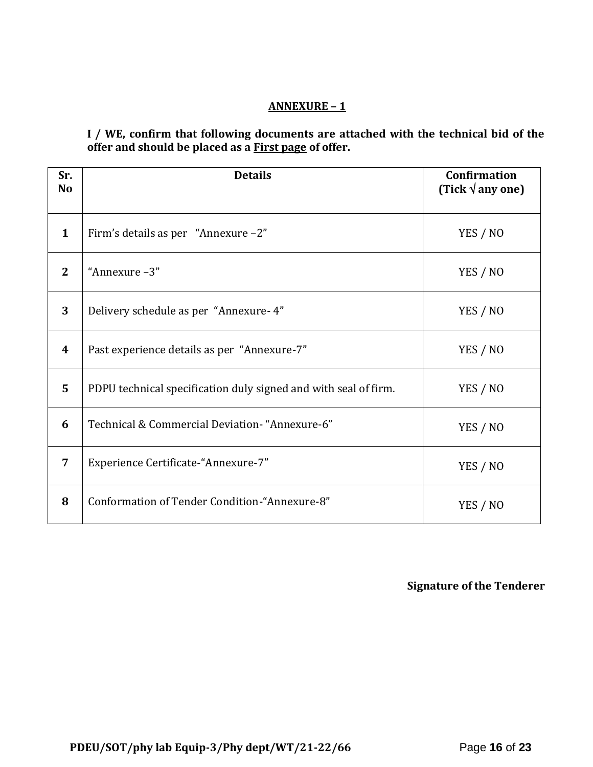# **ANNEXURE – 1**

**I / WE, confirm that following documents are attached with the technical bid of the offer and should be placed as a First page of offer.**

| Sr.<br>N <sub>o</sub> | <b>Details</b>                                                  | <b>Confirmation</b><br>(Tick $\sqrt{$ any one) |
|-----------------------|-----------------------------------------------------------------|------------------------------------------------|
| $\mathbf{1}$          | Firm's details as per "Annexure -2"                             | YES / NO                                       |
| $\mathbf{2}$          | "Annexure -3"                                                   | YES / NO                                       |
| 3                     | Delivery schedule as per "Annexure- 4"                          | YES / NO                                       |
| 4                     | Past experience details as per "Annexure-7"                     | YES / NO                                       |
| 5                     | PDPU technical specification duly signed and with seal of firm. | YES / NO                                       |
| 6                     | Technical & Commercial Deviation- "Annexure-6"                  | YES / NO                                       |
| 7                     | Experience Certificate-"Annexure-7"                             | YES / NO                                       |
| 8                     | Conformation of Tender Condition-"Annexure-8"                   | YES / NO                                       |

**Signature of the Tenderer**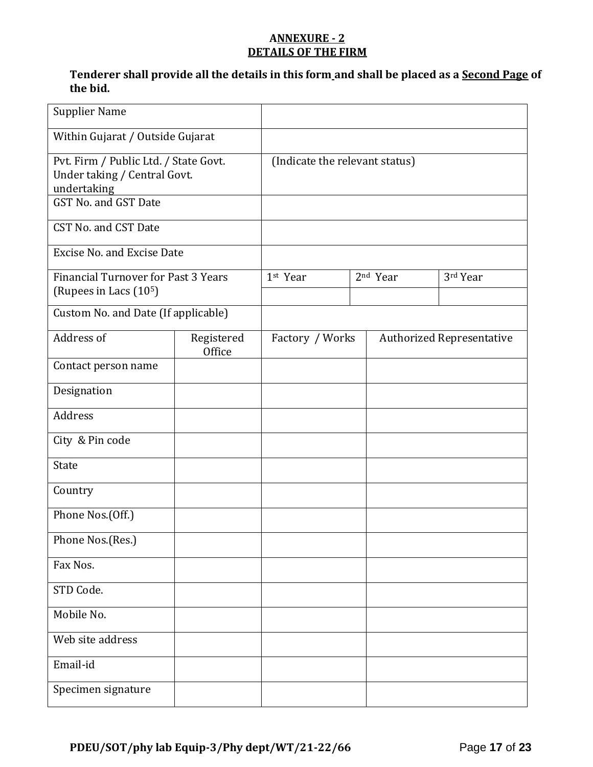# **ANNEXURE - 2 DETAILS OF THE FIRM**

# **Tenderer shall provide all the details in this form and shall be placed as a Second Page of the bid.**

| <b>Supplier Name</b>                                                                                         |                      |                                |  |                      |                                  |
|--------------------------------------------------------------------------------------------------------------|----------------------|--------------------------------|--|----------------------|----------------------------------|
| Within Gujarat / Outside Gujarat                                                                             |                      |                                |  |                      |                                  |
| Pvt. Firm / Public Ltd. / State Govt.<br>Under taking / Central Govt.<br>undertaking<br>GST No. and GST Date |                      | (Indicate the relevant status) |  |                      |                                  |
| CST No. and CST Date                                                                                         |                      |                                |  |                      |                                  |
| <b>Excise No. and Excise Date</b>                                                                            |                      |                                |  |                      |                                  |
| <b>Financial Turnover for Past 3 Years</b><br>(Rupees in Lacs (10 <sup>5</sup> )                             |                      | 1st Year                       |  | 2 <sup>nd</sup> Year | 3rd Year                         |
| Custom No. and Date (If applicable)                                                                          |                      |                                |  |                      |                                  |
| Address of                                                                                                   | Registered<br>Office | Factory / Works                |  |                      | <b>Authorized Representative</b> |
| Contact person name                                                                                          |                      |                                |  |                      |                                  |
| Designation                                                                                                  |                      |                                |  |                      |                                  |
| Address                                                                                                      |                      |                                |  |                      |                                  |
| City & Pin code                                                                                              |                      |                                |  |                      |                                  |
| <b>State</b>                                                                                                 |                      |                                |  |                      |                                  |
| Country                                                                                                      |                      |                                |  |                      |                                  |
| Phone Nos.(Off.)                                                                                             |                      |                                |  |                      |                                  |
| Phone Nos.(Res.)                                                                                             |                      |                                |  |                      |                                  |
| Fax Nos.                                                                                                     |                      |                                |  |                      |                                  |
| STD Code.                                                                                                    |                      |                                |  |                      |                                  |
| Mobile No.                                                                                                   |                      |                                |  |                      |                                  |
| Web site address                                                                                             |                      |                                |  |                      |                                  |
| Email-id                                                                                                     |                      |                                |  |                      |                                  |
| Specimen signature                                                                                           |                      |                                |  |                      |                                  |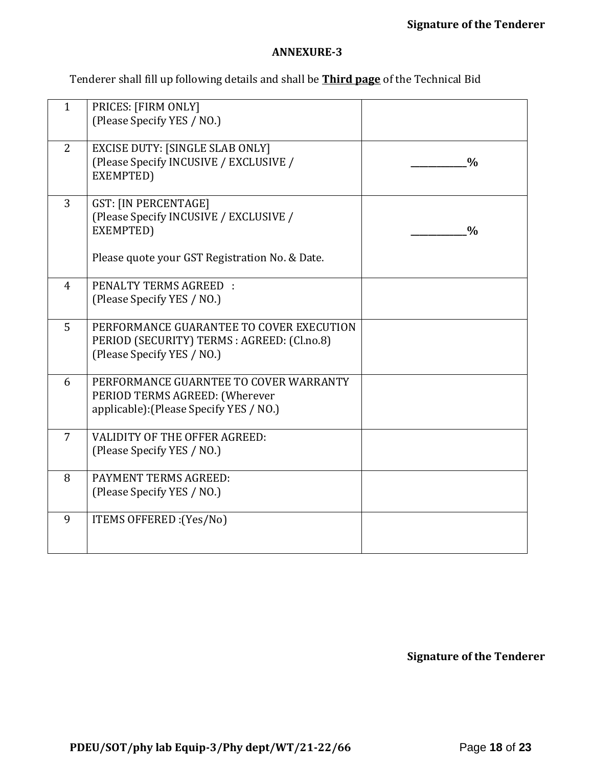#### **ANNEXURE-3**

Tenderer shall fill up following details and shall be **Third page** of the Technical Bid

| $\mathbf{1}$   | PRICES: [FIRM ONLY]<br>(Please Specify YES / NO.)                                                                     |               |
|----------------|-----------------------------------------------------------------------------------------------------------------------|---------------|
| 2              | <b>EXCISE DUTY: [SINGLE SLAB ONLY]</b><br>(Please Specify INCUSIVE / EXCLUSIVE /<br>EXEMPTED)                         | $\frac{0}{0}$ |
| $\overline{3}$ | <b>GST: [IN PERCENTAGE]</b><br>(Please Specify INCUSIVE / EXCLUSIVE /<br>EXEMPTED)                                    | $\frac{0}{0}$ |
|                | Please quote your GST Registration No. & Date.                                                                        |               |
| $\overline{4}$ | <b>PENALTY TERMS AGREED:</b><br>(Please Specify YES / NO.)                                                            |               |
| 5              | PERFORMANCE GUARANTEE TO COVER EXECUTION<br>PERIOD (SECURITY) TERMS : AGREED: (Cl.no.8)<br>(Please Specify YES / NO.) |               |
| 6              | PERFORMANCE GUARNTEE TO COVER WARRANTY<br>PERIOD TERMS AGREED: (Wherever<br>applicable): (Please Specify YES / NO.)   |               |
| 7              | <b>VALIDITY OF THE OFFER AGREED:</b><br>(Please Specify YES / NO.)                                                    |               |
| 8              | PAYMENT TERMS AGREED:<br>(Please Specify YES / NO.)                                                                   |               |
| 9              | ITEMS OFFERED : (Yes/No)                                                                                              |               |

**Signature of the Tenderer**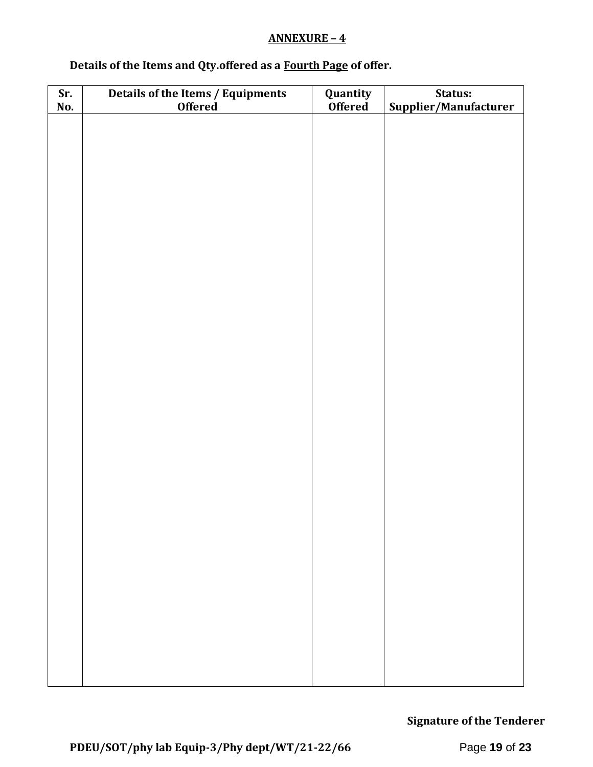### **ANNEXURE – 4**

# **Details of the Items and Qty.offered as a Fourth Page of offer.**

| Sr.<br>No. | Details of the Items / Equipments<br>Offered | <b>Quantity</b><br><b>Offered</b> | Status:<br>Supplier/Manufacturer |
|------------|----------------------------------------------|-----------------------------------|----------------------------------|
|            |                                              |                                   |                                  |
|            |                                              |                                   |                                  |
|            |                                              |                                   |                                  |
|            |                                              |                                   |                                  |
|            |                                              |                                   |                                  |
|            |                                              |                                   |                                  |
|            |                                              |                                   |                                  |
|            |                                              |                                   |                                  |
|            |                                              |                                   |                                  |
|            |                                              |                                   |                                  |
|            |                                              |                                   |                                  |
|            |                                              |                                   |                                  |
|            |                                              |                                   |                                  |
|            |                                              |                                   |                                  |
|            |                                              |                                   |                                  |
|            |                                              |                                   |                                  |
|            |                                              |                                   |                                  |
|            |                                              |                                   |                                  |
|            |                                              |                                   |                                  |
|            |                                              |                                   |                                  |
|            |                                              |                                   |                                  |
|            |                                              |                                   |                                  |
|            |                                              |                                   |                                  |

**Signature of the Tenderer**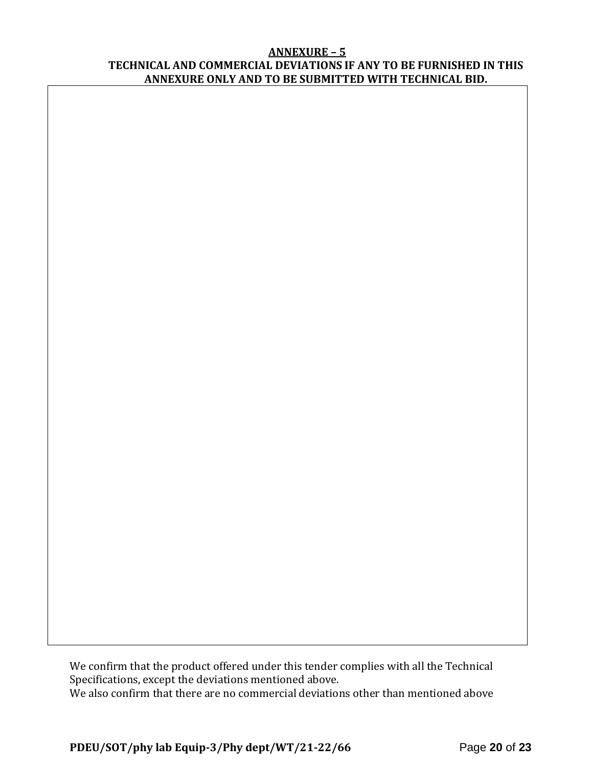#### **ANNEXURE – 5 TECHNICAL AND COMMERCIAL DEVIATIONS IF ANY TO BE FURNISHED IN THIS ANNEXURE ONLY AND TO BE SUBMITTED WITH TECHNICAL BID.**

We confirm that the product offered under this tender complies with all the Technical Specifications, except the deviations mentioned above. We also confirm that there are no commercial deviations other than mentioned above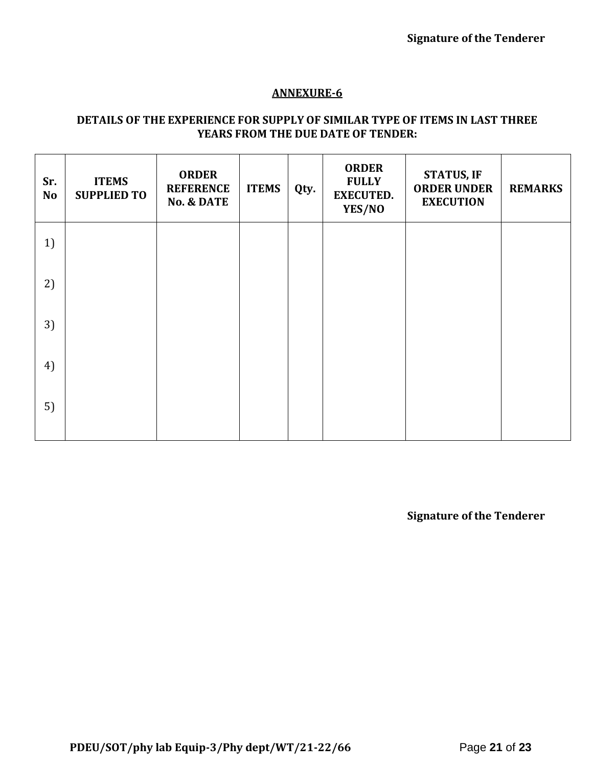# **ANNEXURE-6**

# **DETAILS OF THE EXPERIENCE FOR SUPPLY OF SIMILAR TYPE OF ITEMS IN LAST THREE YEARS FROM THE DUE DATE OF TENDER:**

| Sr.<br><b>No</b> | <b>ITEMS</b><br><b>SUPPLIED TO</b> | <b>ORDER</b><br><b>REFERENCE</b><br><b>No. &amp; DATE</b> | <b>ITEMS</b> | Qty. | <b>ORDER</b><br><b>FULLY</b><br><b>EXECUTED.</b><br>YES/NO | <b>STATUS, IF</b><br><b>ORDER UNDER</b><br><b>EXECUTION</b> | <b>REMARKS</b> |
|------------------|------------------------------------|-----------------------------------------------------------|--------------|------|------------------------------------------------------------|-------------------------------------------------------------|----------------|
| 1)               |                                    |                                                           |              |      |                                                            |                                                             |                |
| 2)               |                                    |                                                           |              |      |                                                            |                                                             |                |
| 3)               |                                    |                                                           |              |      |                                                            |                                                             |                |
| 4)               |                                    |                                                           |              |      |                                                            |                                                             |                |
| 5)               |                                    |                                                           |              |      |                                                            |                                                             |                |

**Signature of the Tenderer**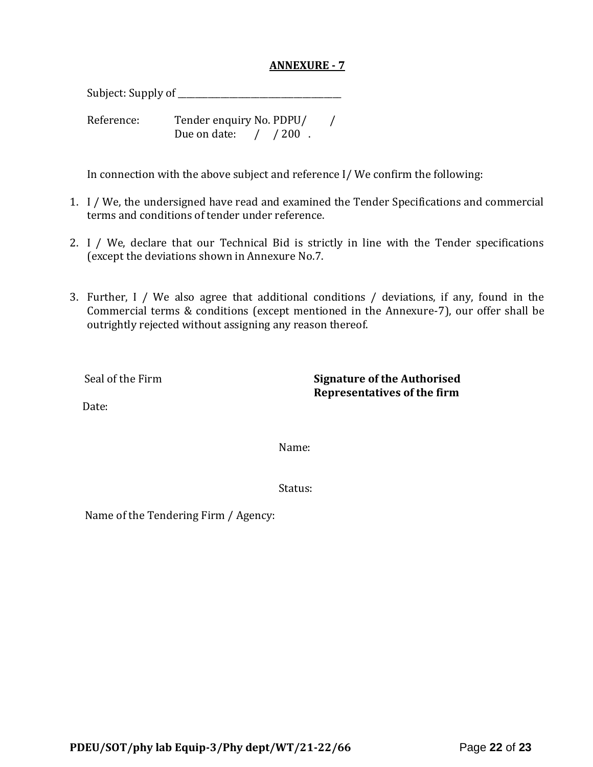#### **ANNEXURE - 7**

Subject: Supply of \_\_\_\_\_\_\_\_\_\_\_\_\_\_\_\_\_\_\_\_\_\_\_\_\_\_\_\_\_\_\_\_\_\_\_\_\_\_

Reference: Tender enquiry No. PDPU/ / Due on date: / / 200.

In connection with the above subject and reference I/ We confirm the following:

- 1. I / We, the undersigned have read and examined the Tender Specifications and commercial terms and conditions of tender under reference.
- 2. I / We, declare that our Technical Bid is strictly in line with the Tender specifications (except the deviations shown in Annexure No.7.
- 3. Further, I / We also agree that additional conditions / deviations, if any, found in the Commercial terms & conditions (except mentioned in the Annexure-7), our offer shall be outrightly rejected without assigning any reason thereof.

Seal of the Firm **Signature of the Authorised Representatives of the firm**

Date:

Name:

Status:

Name of the Tendering Firm / Agency: